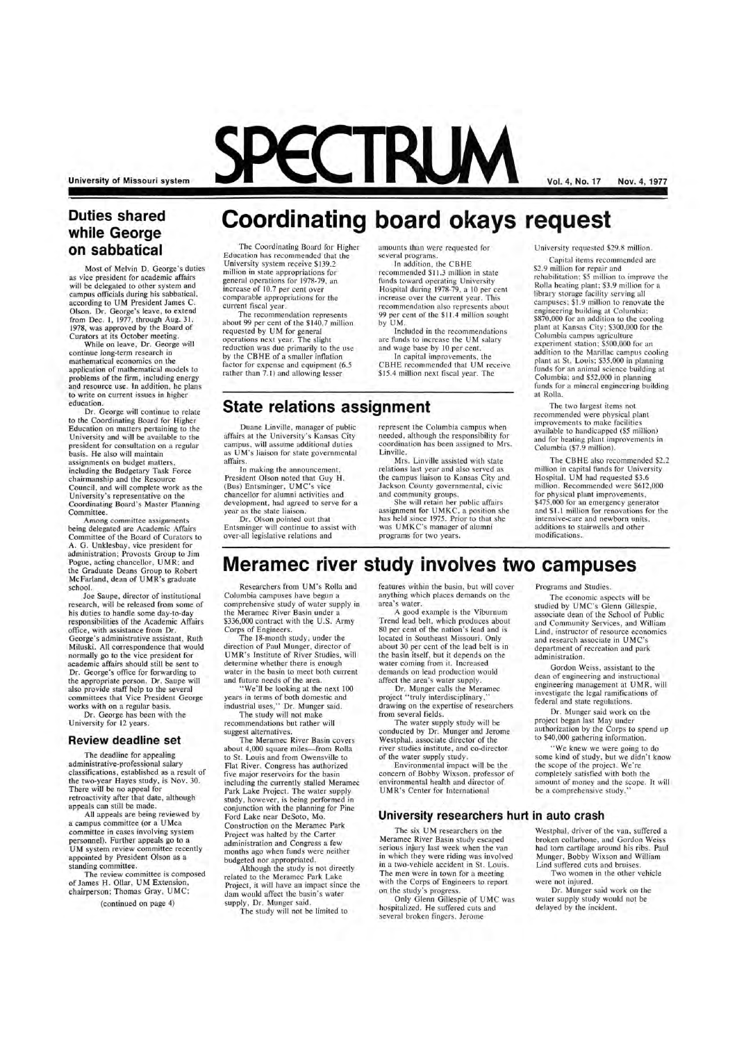**University of Missouri system** 

# **Duties shared while George on sabbatical**

Most of Melvin D. George's duties as vice president for academic affairs will be delegated to other system and campus officials during his sabbatical, according to UM President James C. Olson. Dr. George's leave, to extend from Dec. 1, 1977, through Aug. 31 , 1978, was approved by the Board of Curators at its October meeting.

While on leave, Dr. George will continue long-term research in mathematical economics on the application of mathematical models to problems of the firm, including energy and resource use. In addition, he plans to write on current issues in higher education.

Dr. George will continue to relate to the Coordinating Board for Higher Education on matters pertaining to the University and will be available to the president for consultation on a regular basis. He also will maintain assignments on budget matters, including the Budgetary Task Force chairmanship and tbe Resource Council, and will complete work as the University's representative on the Coordinating Board's Master Planning Committee.

Among committee assignments being delegated are Academic Affairs Committee of the Board of Curators to A. G. Unklesbay, vice president for administration; Provosts Group to Jim Pogue, acting chancellor, UMR; and the Graduate Deans Group to Robert McFarland, dean of UMR's graduate school.

about 99 per cent of the \$140.7 million requested by UM for general operations next year. The slight reduction was due primarily to the use by the CBHE of a smaller inflation factor for expense and equipment (6.5 rather than 7.1) and allowing lesser

#### several programs. In addition, the CBHE

Joe Saupe, director of institutional research, will be released from some of his duties to handle some day-to-day responsibilities of the Academic Affairs office, with assistance from Dr. George's administrative assistant, Ruth Miluski. All correspondence that would normally go to the vice president for academic affairs should still be sent to Dr. George's office for forwarding to the appropriate person. Dr. Saupe will also provide staff help to the several committees that Vice President George works with on a regular basis.

In capital improvements, the CBHE recommended that UM receive \$15.4 million next fiscal year. The

Dr. George has been with the University for 12 years.

## **Review deadline set**

The deadline for appealing ministrative-professional sal classifications, established as a result of the two-year Hayes study, is Nov. 30. There will be no appeal for retroactivity after that date, although appeals can still be made.

All appeals are being reviewed by a campus committee (or a UMca committee in cases involving system personnel). Further appeals go to a UM system review committee recently appointed by President Olson as a standing committee.

The review committee is composed of James H. Ollar, UM Extension, chairperson; Thomas Gray, UMC;

(continued on page 4)

**Vol. 4, No. 17** Nov. 4, **1977** 

increase of 10.7 per cent over comparable appropriations for the current fiscal year. The recommendation represents

### **Coordinating board okays request**  The Coordinating Board for Higher Education has recommended that the University system receive \$139.2 million in state appropriations for general operations for 1978-79 , an amounts than were requested for

Researchers from UM's Rolla and Columbia campuses have begun a comprehensive study of water supply in the Meramec River Basin under a \$336,000 contract with the U.S. Army Corps of Engineers.

The 18-month study, under the direction of Paul Munger, director of UMR's Institute of River Studies, will determine whether there is enough water in the basin to meet both current and future needs of the area.

We'll be looking at the next 100 years in terms of both domestic and industrial uses," Dr. Munger said.

recommended \$11.3 million in state funds toward operating University Hospital during 1978-79, a 10 per cent increase over the current year. This recommendation also represents about 99 per cent of the \$11.4 million sought by UM.

Included in the recommendations are funds to increase the UM salary and wage base by 10 per cent.

# **State relations assignment**

Duane Linville, manager of public affairs at the University's Kansas City campus, will assume additional duties as UM's liaison for state governmental affairs.

In making the announcement, President Olson noted that Guy H. (Bus) Entsminger, UMC's vice chancellor for alumni activities and development, had agreed to serve for a year as the state liaison.

Dr. Olson pointed out that Entsminger will continue to assist with over-all legislative relations and

represent the Columbia campus when needed , although the responsibility for coordination has been assigned to Mrs. Linville.

> " We knew we were going to do some kind of study, but we didn't know ope of the project. completely satisfied with both the amount of money and the scope. It will be a comprehensive study.

Mrs. Linville assisted with state relations last year and also served as the campus liaison to Kansas City and Jackson County governmental, civic and community groups.

She will retain her public affairs assignment for UMKC, a position she has held since 1975. Prior to that she was UMKC's manager of alumni programs for two years.

The six UM researchers on the Meramec River Basin study escaped serious injury last week when the van in which they were riding was involved in a two-vehicle accident in St. Louis. The men were in town for a meeting with the Corps of Engineers to report on the study's progress.

University requested \$29.8 million.

Westphal, driver of the van, suffered a broken collarbone, and Gordon Weiss had torn cartilage around his ribs. Paul Munger, Bobby Wixson and William Lind suffered cuts and bruises.

Capital items recommended are \$2 .9 million for repair and rehabilitation; \$5 million to improve the Rolla heating plant; \$3.9 million for a library storage facility serving all campuses; \$1.9 million to renovate the engineering building at Columbia; \$870,000 for an addition to the cooling plant at Kansas City; \$300,000 for the Columbia campus agriculture experiment station; \$500,000 for an addition to the Marillac campus cooling plant at St. Louis; \$35 ,000 in planning funds for an animal science building at Columbia; and \$52,000 in planning funds for a mineral engineering building at Rolla.

The two largest items not recommended were physical plant improvements to make facilities available to handicapped (\$5 million) and for heating plant improvements in Columbia (\$7 .9 million).

The CBHE also recommended \$2.2 million in capital funds for University Hospital. UM had requested \$3.6 million. Recommended were \$612,000 for physical plant improvements, \$475,000 for an emergency generator and \$1.1 million for renovations for the intensive-care and newborn units, additions to stairwells and other modifications.

# **Meramec river study involves two campuses**

The study will not make recommendations but rather will suggest alternatives.

The Meramec River Basin covers about 4,000 square miles-from Rolla to St. Louis and from Owensville to Flat River. Congress has authorized five major reservoirs for the basin including the currently stalled Meramec Park Lake Project. The water supply study, however, is being performed in conjunction with the planning for Pine Ford Lake near DeSoto, Mo. Construction on the Meramec Park Project was halted by the Carter administration and Congress a few months ago when funds were neither budgeted nor appropriated.

Although the study is not directly related to the Meramec Park Lake Project, it will have an impact since the dam would affect the basin 's water supply, Dr. Munger said. The study will not be limited to

features within the basin, but will cover anything which places demands on the area's water.

A good example is the Viburnum Trend lead belt, which produces about 80 per cent of the nation's lead and is located in Southeast Missouri. Only about 30 per cent of the lead belt is in the basin itself, but it depends on the water coming from it. Increased demands on lead production would affect the area's water supply.

Dr. Munger calls the Meramec project "truly interdisciplinary," drawing on the expertise of researchers from several fields.

The water supply study will be conducted by Dr. Munger and Jerome Westphal, associate director of the river studies institute, and co-director of the water supply study.

Environmental impact will be the

concern of Bobby Wixson, professor of environmental health and director of UMR's Center for International

Programs and Studies.

The economic aspects will be studied by UMC's Glenn Gillespie, associate dean of the School of Public and Community Services, and William Lind, instructor of resource economics and research associate in UMC's department of recreation and park administration.

Gordon Weiss, assistant to the dean of engineering and instructional engineering management at UMR, will investigate the legal ramifications of federal and state regulations.

Dr. Munger said work on the project began last May under authorization by the Corps to spend up to \$40,000 gathering information.

## **University researchers hurt in auto crash**

Only Glenn Gillespie of UMC was hospitalized. He suffered cuts and several broken fingers. Jerome

Two women in the other vehicle were not injured.

Dr. Munger said work on the water supply study would not be delayed by the incident.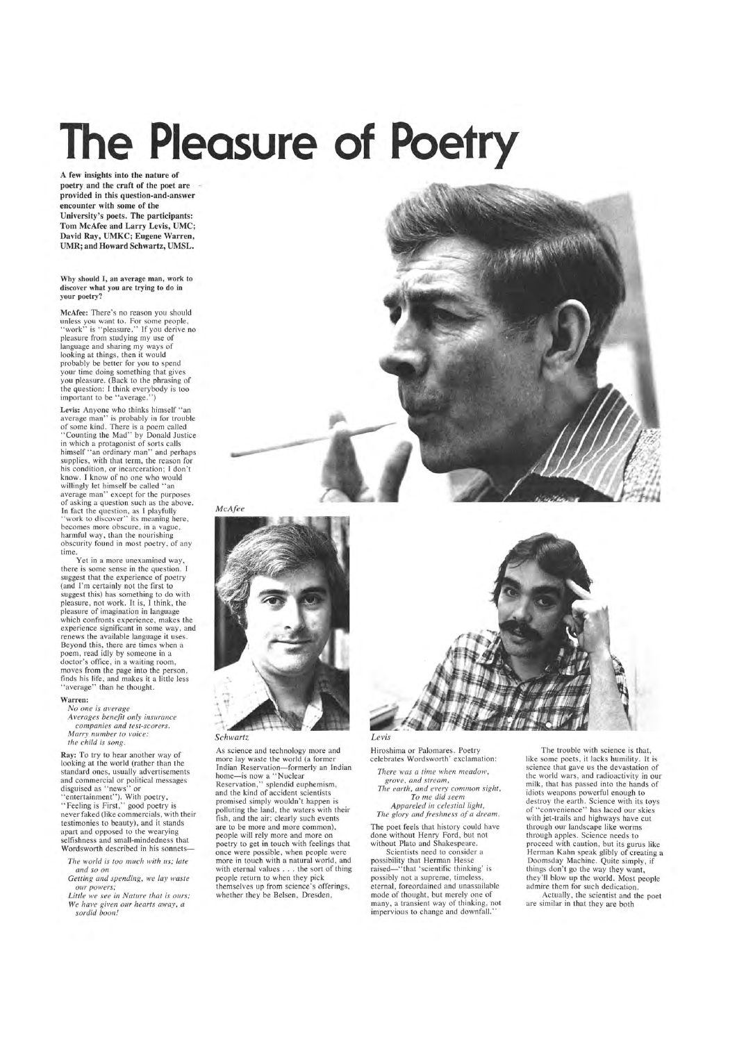# **The Pleasure of Poetry**

A few insights into the nature of poetry and the craft of the poet are provided in this question-and-answer encounter with some of the University's poets. The participants: Tom McAfee and Larry Levis, UMC; David Ray, UMKC; Eugene Warren, UMR; and Howard Schwartz, UMSL.

Why should I, an average man, work to discover what you are trying to do in your poetry?

McAfee: There's no reason you should unless you want to. For some people, "work" is "pleasure." If you derive no pleasure from studying my use of language and sharing my ways of looking at things, then it would probably be better for you to spend your time doing something that gives you pleasure. (Back to the phrasing of the question: I think everybody is too important to be "average.")

Levis: Anyone who thinks himself "an average man" is probably in for trouble of some kind. There is a poem called 'Counting the Mad'' by Donald Justice in which a protagonist of sorts calls himself "an ordinary man" and perhaps supplies, with that term, the reason for his condition, or incarceration; I don't know. I know of no one who would willingly let himself be called "an average man" except for the purposes of asking a question such as the above.<br>In fact the question, as I playfully "work to discover" its meaning here, becomes more obscure, in a vague, harmful way, than the nourishing obscurity found in most poetry, of any time.

Yet in a more unexamined way, there is some sense in the question. I suggest that the experience of poetry (and I'm certainly not the first to suggest this) has something to do with pleasure, not work. It is, I think, the pleasure of imagination in language which confronts experience, makes the experience significant in some way, and renews the available language it uses. Beyond this, there are times when a poem, read idly by someone in a doctor's office, in a waiting room, moves from the page into the person, finds his life, and makes it a little less " average" than he thought.

*No one is average Averages benefit onLy insurance companies and test-scorers. Marry number to voice:*  the child is song.

Ray: To try to hear another way of looking at the world (rather than the standard ones, usually advertisements and commercial or political messages disguised as "news" or "entertainment"). With poetry, "Feeling is First," good poetry is never faked (like commercials, with their testimonies to beauty), and it stands apart and opposed to the wearying selfishness and small-mindedness that Wordsworth described in his sonnets-

*The worLd is too much with us; late and so on* 

#### Warren:

*Getting and spending, we Lay waste our powers;* 

*Little we see in Nature that is ours; We have given our hearts away, a sordid boon!* 





## *Schwartz*

As science and technology more and more lay waste the world (a former Indian Reservation-formerly an Indian home-is now a "Nuclear Reservation," splendid euphemism, and the kind of accident scientists promised simply wouldn't happen is polluting the land, the waters with their fish, and the air; clearly such events are to be more and more common), people will rely more and more on poetry to get in touch with feelings that once were possible, when people were more in touch with a natural world, and with eternal values .. . the sort of thing people return to when they pick themselves up from science's offerings, whether they be Belsen, Dresden,



Hiroshima or Palomares. Poetry celebrates Wordsworth' exclamation:

*There was a time when meadow, grove, and stream, The earth, and every common sight, To me did seem Appareled ;11 celestial light, The glory and freshness of a dream.* 

The poet feels that history could have done without Henry Ford, but not without Plato and Shakespeare.

Scientists need to consider a possibility that Herman Hesse raised-"that 'scientific thinking' is possibly not a supreme, timeless, eternal, foreordained and unassailable mode of thought, but merely one of many, a transient way of thinking, not impervious to change and downfall."

The trouble with science is that, like some poets, it lacks humility. It is science that gave us the devastation of the world wars, and radioactivity in our milk, that has passed into the hands of idiots weapons powerful enough to destroy the earth. Science with its toys of "convenience" has laced our skies with jet-trails and highways have cut through our landscape like worms through apples. Science needs to proceed with caution, but its gurus like Herman Kahn speak glibly of creating a Doomsday Machine. Quite simply, if things don't go the way they want, they 'll blow up the world. Most people admire them for such dedication.

Actually, the scientist and the poet are similar in that they are both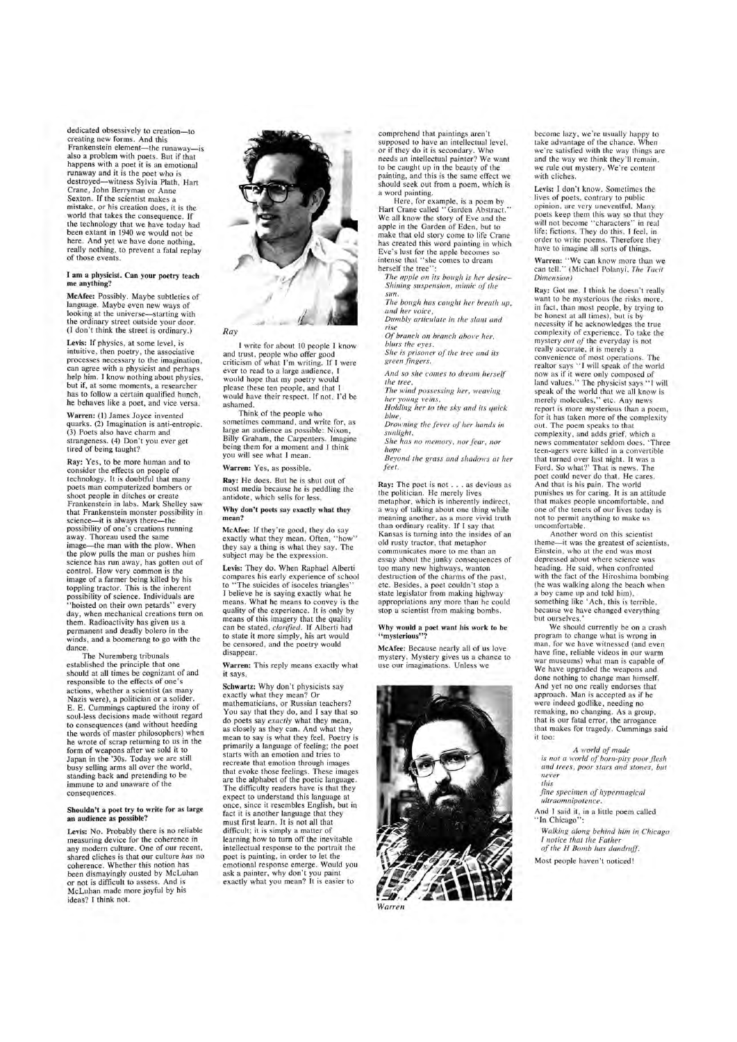dedicated obsessively to creation-to creating new forms. And this Frankenstein element-the runaway-is also a problem with poets. But if that happens with a poet it is an emotional runaway and it is the poet who is destroyed-witness Sylvia Plath, Hart Crane, John Berryman or Anne Sexton. If the scientist makes a mistake , or his creation does, it is the world that takes the consequence. If the technology that we have today had been extant in 1940 we would not be here. And yet we have done nothing, really nothing, to prevent a fatal replay of those events.

Levis: If physics, at some level, is intuitive, then poetry, the associative processes necessary to the imagination , can agree with a physicist and perhaps help him. I know nothing about physics, but if, at some moments, a researcher has to follow a certain qualified hunch, he behaves like a poet, and vice versa.

#### I am a physicist. Can your poetry teach me anything?

Ray: Yes, to be more human and to consider the effects on people of technology. It is doubtful that many poets man computerized bombers or shoot people in ditches or create Frankenstein in labs. Mark Shelley saw that Frankenstein monster possibility in science-it is always there-the possibility of one's creations running away. Thoreau used the same image-the man with the plow. When the plow pulls the man or pushes him science has run away, has gotten out of control. How very common is the image of a farmer being killed by his toppling tractor. This is the inherent possibility of science. Individuals are "hoisted on their own petards" every day, when mechanical creations turn on them. Radioactivity has given us a permanent and deadly bolero in the winds, and a boomerang to go with the dance

McAfee: Possibly. Maybe subtleties of language. Maybe even new ways of looking at the universe—starting with the ordinary street outside your door. (J don't think the street is ordinary.)

Warren: (1) James Joyce invented quarks. (2) Imagination is anti-entropic. (3) Poets also have charm and strangeness. (4) Don't you ever get tired of being taught?

> McAfee: If they're good, they do say exactly what they mean. Often, "how" they say a thing is what they say. The subject may be the expression.

The Nuremberg tribunals established the principle that one should at all times be cognizant of and responsible to the effects of one 's actions, whether a scientist (as many Nazis were), a politician or a solider. E. E. Cummings captured the irony of soul-less decisions made without regard to consequences (and without heeding the words of master philosophers) when he wrote of scrap returning to us in the form of weapons after we sold it to Japan in the '30s. Today we are still busy selling arms all over the world , standing back and pretending to be immune to and unaware of the consequences.

Schwartz: Why don't physicists say exactly what they mean? Or mathematicians, or Russian teachers? You say that they do, and I say that so do poets say *exactly* what they mean, as closely as they can. And what they mean to say is what they feel. Poetry is primarily a language of feeling; the poet starts with an emotion and tries to recreate that emotion through images that evoke those feelings. These images are the alphabet of the poetic language. The difficulty readers have is that they expect to understand this language at once, since it resembles English, but in fact it is another language that they must first learn. It is not all that difficult; it is simply a matter of learning how to turn off the inevitable intellectual response to the portrait the poet is painting, in order to let the emotional response emerge. Would you ask a painter, why don't you paint exactly what you mean? It is easier to

#### Shouldn't a poet try to write for as large an audience as possible?

Here, for example, is a poem by Hart Crane called "Garden Abstract." We all know the story of Eve and the apple in the Garden of Eden, but to make that old story come to life Crane has created this word painting in which Eve's lust for the apple becomes so intense that "she comes to dream herself the tree":

Levis: No. Probably there is no reliable measuring device for the coherence in any modern culture. One of our recent, shared cliches is that our culture *has* no coherence. Whether this notion has been dismayingly ousted by McLuhan or not is difficult to assess. And is McLuhan made more joyful by his ideas? I think not.

 $Of$  *branch on branch above her, blurs the eyes. She is prisoner of the tree and its* 



*Drowning the fever of her hands in sunlight.* 

*She has no memory, nor fear, nor hope* 

I write for about 10 people I know and trust, people who offer good criticism of what I'm writing. If I were ever to read to a large audience, I would hope that my poetry would please these ten people, and that I would have their respect. If not, I'd be ashamed.

Think of the people who sometimes command, and write for, as large an audience as possible: Nixon, Billy Graham, the Carpenters. Imagine being them for a moment and I think you will see what I mean.

#### Why would a poet want his work to be "mysterious"?

Warren: Yes, as possible.

Ray: He does. But he is shut out of most media because he is peddling the antidote, which sells for less.

#### Why don't poets say exactly what they mean?

Levis: They do. When Raphael Alberti compares his early experience of school to "The suicides of isoceles triangles" I believe he is saying exactly what he means. What he means to convey is the quality of the experience. It is only by means of this imagery that the quality can be stated, *clarified.* If Alberti had to state it more simply, his art would be censored, and the poetry would disappear.

Warren: This reply means exactly what it says.

Another word on this scientist theme-it was the greatest of scientists, Einstein, who at the end was most depressed about where science was heading. He said, when confronted with the fact of the Hiroshima bombing (he was walking along the beach when a boy came up and told him), something like 'Ach, this is terrible, because we have changed everything but ourselves.

And I said it, in a little poem called "In Chicago":

comprehend that paintings aren't supposed to have an intellectual level. or if they do it is secondary. Who needs an intellectual painter? We want to be caught up in the beauty of the painting, and this is the same effect we should seek out from a poem, which is a word painting.

*The apple on its bough is her desire-Shining sllspension, mimic of the sun.* 

*The bough has caught her breath up , and her voice,* 

*Dumbly articulate in the slant and rise* 

*green fingers.* 

*And so she comes to dream herself the tree,* 

*The wind possessing her, weaving her young veins,* 

*Holding her to the sky and its quick blue,* 

*Beyond the grass and shadows at her feet.* 

Ray: The poet is not ... as devious as the politician. He merely lives metaphor, which is inherently indirect, a way of talking about one thing while meaning another, as a more vivid truth than ordinary reality. If I say that Kansas is turning into the insides of an old rusty tractor, that metaphor communicates more to me than an essay about the junky consequences of too many new highways, wanton destruction of the charms of the past, etc. Besides, a poet couldn't stop a state legislator from making highway appropriations any more than he could stop a scientist from making bombs.

McAfee: Because nearly all of us love mystery. Mystery gives us a chance to use our imaginations. Unless we



become lazy, we're usually happy to take advantage of the chance. When we 're satisfied with the way things are and the way we think they 'll remain, we rule out mystery. We 're content with cliches.

Levis: I don 't know. Sometimes the lives of poets, contrary to public opinion, are very uneventful. Many poets keep them this way so that they will not become "characters" in real life; fictions. They do this, I feel, in order to write poems. Therefore they have to imagine all sorts of things.

Warren: "We can know more than we can tell." (Michael Polanyi, *The Tacit Dimension)* 

Ray: Got me. I think he doesn't really want to be mysterious (he risks more , in fact, than most people, by trying to be honest at all times), but is by necessity if he acknowledges the true complexity of experience. To take the mystery *Ollt of* the everyday is not really accurate, it is merely a convenience of most operations. The realtor says "I will speak of the world now as if it were only composed of land values." The physicist says "I will speak of the world that we all know is merely molecules," etc. Any news report is more mysterious than a poem, for it has taken more of the complexity out. The poem speaks to that complexity, and adds grief, which a news commentator seldom does. 'Three teen-agers were killed in a convertible that turned over last night. It was a Ford. So what?' That is news. The poet could never do that. He cares. And that is his pain. The world punishes us for caring. It is an attitude that makes people uncomfortable , and one of the tenets of our lives today is not to permit anything to make us uncomfortable.

We should currently be on a crash program to change what is wrong in man, for we have witnessed (and even have fine, reliable videos in our warm war museums) what man is capable of We have upgraded the weapons and done nothing to change man himself. And yet no one really endorses that approach. Man is accepted as if he were indeed godlike, needing no remaking, no changing. As a group, that is our fatal error, the arrogance that makes for tragedy. Cummings said it too:

*A world of made*  is *not a world of born-pity poor flesh and trees, poor stars and stones, but never* 

*this fine specimen of hypermagical ultraomnipotence .* 

*Walking along behind him in Chicago I notice that the Father of the H Bomb has dandruff.* 

Most people haven't noticed!